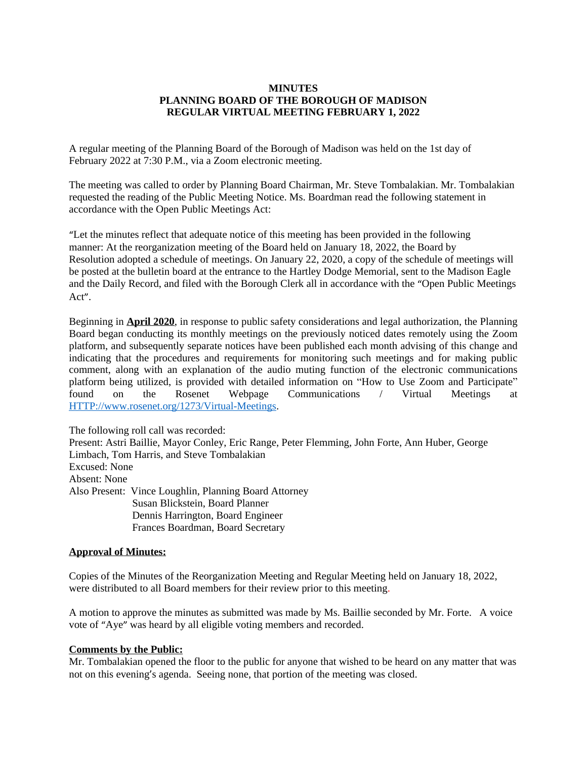## **MINUTES PLANNING BOARD OF THE BOROUGH OF MADISON REGULAR VIRTUAL MEETING FEBRUARY 1, 2022**

A regular meeting of the Planning Board of the Borough of Madison was held on the 1st day of February 2022 at 7:30 P.M., via a Zoom electronic meeting.

The meeting was called to order by Planning Board Chairman, Mr. Steve Tombalakian. Mr. Tombalakian requested the reading of the Public Meeting Notice. Ms. Boardman read the following statement in accordance with the Open Public Meetings Act:

"Let the minutes reflect that adequate notice of this meeting has been provided in the following manner: At the reorganization meeting of the Board held on January 18, 2022, the Board by Resolution adopted a schedule of meetings. On January 22, 2020, a copy of the schedule of meetings will be posted at the bulletin board at the entrance to the Hartley Dodge Memorial, sent to the Madison Eagle and the Daily Record, and filed with the Borough Clerk all in accordance with the "Open Public Meetings Act".

Beginning in **April 2020**, in response to public safety considerations and legal authorization, the Planning Board began conducting its monthly meetings on the previously noticed dates remotely using the Zoom platform, and subsequently separate notices have been published each month advising of this change and indicating that the procedures and requirements for monitoring such meetings and for making public comment, along with an explanation of the audio muting function of the electronic communications platform being utilized, is provided with detailed information on "How to Use Zoom and Participate" found on the Rosenet Webpage Communications / Virtual Meetings at <HTTP://www.rosenet.org/1273/Virtual-Meetings>.

The following roll call was recorded: Present: Astri Baillie, Mayor Conley, Eric Range, Peter Flemming, John Forte, Ann Huber, George Limbach, Tom Harris, and Steve Tombalakian Excused: None Absent: None Also Present: Vince Loughlin, Planning Board Attorney Susan Blickstein, Board Planner Dennis Harrington, Board Engineer Frances Boardman, Board Secretary

#### **Approval of Minutes:**

Copies of the Minutes of the Reorganization Meeting and Regular Meeting held on January 18, 2022, were distributed to all Board members for their review prior to this meeting.

A motion to approve the minutes as submitted was made by Ms. Baillie seconded by Mr. Forte. A voice vote of "Aye" was heard by all eligible voting members and recorded.

#### **Comments by the Public:**

Mr. Tombalakian opened the floor to the public for anyone that wished to be heard on any matter that was not on this evening's agenda. Seeing none, that portion of the meeting was closed.